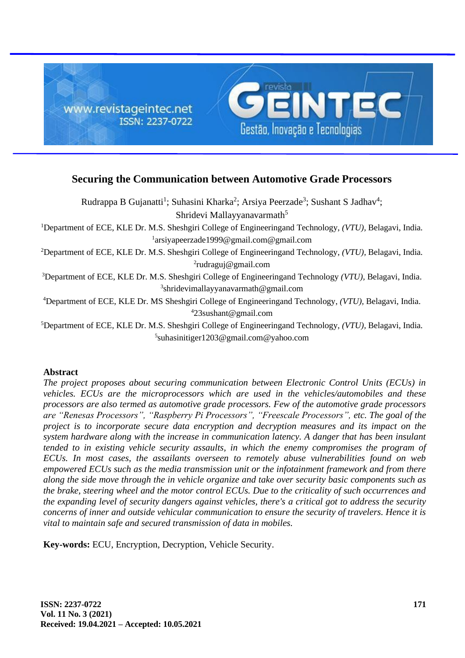

# **Securing the Communication between Automotive Grade Processors**

Rudrappa B Gujanatti<sup>1</sup>; Suhasini Kharka<sup>2</sup>; Arsiya Peerzade<sup>3</sup>; Sushant S Jadhav<sup>4</sup>; Shridevi Mallayyanavarmath<sup>5</sup>

<sup>1</sup>Department of ECE, KLE Dr. M.S. Sheshgiri College of Engineeringand Technology, *(VTU),* Belagavi, India. 1 arsiyapeerzade1999@gmail.com@gmail.com

<sup>2</sup>Department of ECE, KLE Dr. M.S. Sheshgiri College of Engineeringand Technology, *(VTU),* Belagavi, India. 2 rudraguj@gmail.com

<sup>3</sup>Department of ECE, KLE Dr. M.S. Sheshgiri College of Engineeringand Technology *(VTU),* Belagavi, India. 3 shridevimallayyanavarmath@gmail.com

<sup>4</sup>Department of ECE, KLE Dr. MS Sheshgiri College of Engineeringand Technology, *(VTU),* Belagavi, India. <sup>4</sup>23sushant@gmail.com

<sup>5</sup>Department of ECE, KLE Dr. M.S. Sheshgiri College of Engineeringand Technology, *(VTU),* Belagavi, India. 5 suhasinitiger1203@gmail.com@yahoo.com

# **Abstract**

*The project proposes about securing communication between Electronic Control Units (ECUs) in vehicles. ECUs are the microprocessors which are used in the vehicles/automobiles and these processors are also termed as automotive grade processors. Few of the automotive grade processors are "Renesas Processors", "Raspberry Pi Processors", "Freescale Processors", etc. The goal of the project is to incorporate secure data encryption and decryption measures and its impact on the system hardware along with the increase in communication latency. A danger that has been insulant tended to in existing vehicle security assaults, in which the enemy compromises the program of ECUs. In most cases, the assailants overseen to remotely abuse vulnerabilities found on web empowered ECUs such as the media transmission unit or the infotainment framework and from there along the side move through the in vehicle organize and take over security basic components such as the brake, steering wheel and the motor control ECUs. Due to the criticality of such occurrences and the expanding level of security dangers against vehicles, there's a critical got to address the security concerns of inner and outside vehicular communication to ensure the security of travelers. Hence it is vital to maintain safe and secured transmission of data in mobiles.*

**Key-words:** ECU, Encryption, Decryption, Vehicle Security.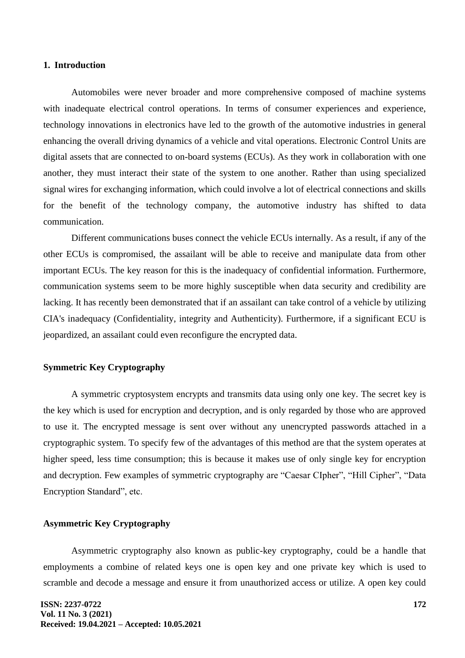## **1. Introduction**

Automobiles were never broader and more comprehensive composed of machine systems with inadequate electrical control operations. In terms of consumer experiences and experience, technology innovations in electronics have led to the growth of the automotive industries in general enhancing the overall driving dynamics of a vehicle and vital operations. Electronic Control Units are digital assets that are connected to on-board systems (ECUs). As they work in collaboration with one another, they must interact their state of the system to one another. Rather than using specialized signal wires for exchanging information, which could involve a lot of electrical connections and skills for the benefit of the technology company, the automotive industry has shifted to data communication.

Different communications buses connect the vehicle ECUs internally. As a result, if any of the other ECUs is compromised, the assailant will be able to receive and manipulate data from other important ECUs. The key reason for this is the inadequacy of confidential information. Furthermore, communication systems seem to be more highly susceptible when data security and credibility are lacking. It has recently been demonstrated that if an assailant can take control of a vehicle by utilizing CIA's inadequacy (Confidentiality, integrity and Authenticity). Furthermore, if a significant ECU is jeopardized, an assailant could even reconfigure the encrypted data.

### **Symmetric Key Cryptography**

A symmetric cryptosystem encrypts and transmits data using only one key. The secret key is the key which is used for encryption and decryption, and is only regarded by those who are approved to use it. The encrypted message is sent over without any unencrypted passwords attached in a cryptographic system. To specify few of the advantages of this method are that the system operates at higher speed, less time consumption; this is because it makes use of only single key for encryption and decryption. Few examples of symmetric cryptography are "Caesar CIpher", "Hill Cipher", "Data Encryption Standard", etc.

#### **Asymmetric Key Cryptography**

Asymmetric cryptography also known as public-key cryptography, could be a handle that employments a combine of related keys one is open key and one private key which is used to scramble and decode a message and ensure it from unauthorized access or utilize. A open key could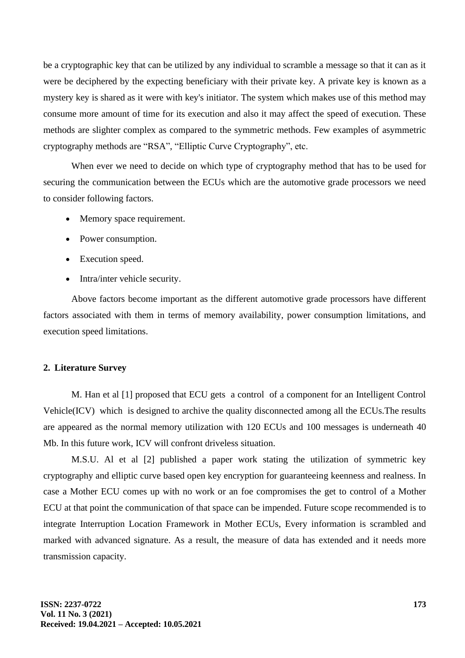be a cryptographic key that can be utilized by any individual to scramble a message so that it can as it were be deciphered by the expecting beneficiary with their private key. A private key is known as a mystery key is shared as it were with key's initiator. The system which makes use of this method may consume more amount of time for its execution and also it may affect the speed of execution. These methods are slighter complex as compared to the symmetric methods. Few examples of asymmetric cryptography methods are "RSA", "Elliptic Curve Cryptography", etc.

When ever we need to decide on which type of cryptography method that has to be used for securing the communication between the ECUs which are the automotive grade processors we need to consider following factors.

- Memory space requirement.
- Power consumption.
- Execution speed.
- Intra/inter vehicle security.

Above factors become important as the different automotive grade processors have different factors associated with them in terms of memory availability, power consumption limitations, and execution speed limitations.

### **2. Literature Survey**

M. Han et al [1] proposed that ECU gets a control of a component for an Intelligent Control Vehicle(ICV) which is designed to archive the quality disconnected among all the ECUs.The results are appeared as the normal memory utilization with 120 ECUs and 100 messages is underneath 40 Mb. In this future work, ICV will confront driveless situation.

M.S.U. Al et al [2] published a paper work stating the utilization of symmetric key cryptography and elliptic curve based open key encryption for guaranteeing keenness and realness. In case a Mother ECU comes up with no work or an foe compromises the get to control of a Mother ECU at that point the communication of that space can be impended. Future scope recommended is to integrate Interruption Location Framework in Mother ECUs, Every information is scrambled and marked with advanced signature. As a result, the measure of data has extended and it needs more transmission capacity.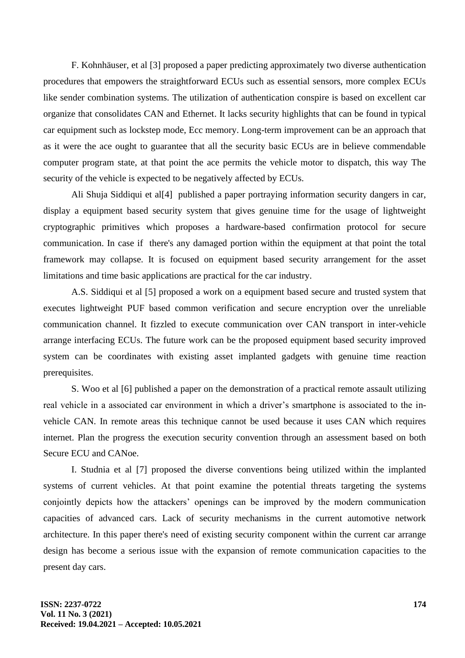F. Kohnhäuser, et al [3] proposed a paper predicting approximately two diverse authentication procedures that empowers the straightforward ECUs such as essential sensors, more complex ECUs like sender combination systems. The utilization of authentication conspire is based on excellent car organize that consolidates CAN and Ethernet. It lacks security highlights that can be found in typical car equipment such as lockstep mode, Ecc memory. Long-term improvement can be an approach that as it were the ace ought to guarantee that all the security basic ECUs are in believe commendable computer program state, at that point the ace permits the vehicle motor to dispatch, this way The security of the vehicle is expected to be negatively affected by ECUs.

Ali Shuja Siddiqui et al[4] published a paper portraying information security dangers in car, display a equipment based security system that gives genuine time for the usage of lightweight cryptographic primitives which proposes a hardware-based confirmation protocol for secure communication. In case if there's any damaged portion within the equipment at that point the total framework may collapse. It is focused on equipment based security arrangement for the asset limitations and time basic applications are practical for the car industry.

A.S. Siddiqui et al [5] proposed a work on a equipment based secure and trusted system that executes lightweight PUF based common verification and secure encryption over the unreliable communication channel. It fizzled to execute communication over CAN transport in inter-vehicle arrange interfacing ECUs. The future work can be the proposed equipment based security improved system can be coordinates with existing asset implanted gadgets with genuine time reaction prerequisites.

S. Woo et al [6] published a paper on the demonstration of a practical remote assault utilizing real vehicle in a associated car environment in which a driver's smartphone is associated to the invehicle CAN. In remote areas this technique cannot be used because it uses CAN which requires internet. Plan the progress the execution security convention through an assessment based on both Secure ECU and CANoe.

I. Studnia et al [7] proposed the diverse conventions being utilized within the implanted systems of current vehicles. At that point examine the potential threats targeting the systems conjointly depicts how the attackers' openings can be improved by the modern communication capacities of advanced cars. Lack of security mechanisms in the current automotive network architecture. In this paper there's need of existing security component within the current car arrange design has become a serious issue with the expansion of remote communication capacities to the present day cars.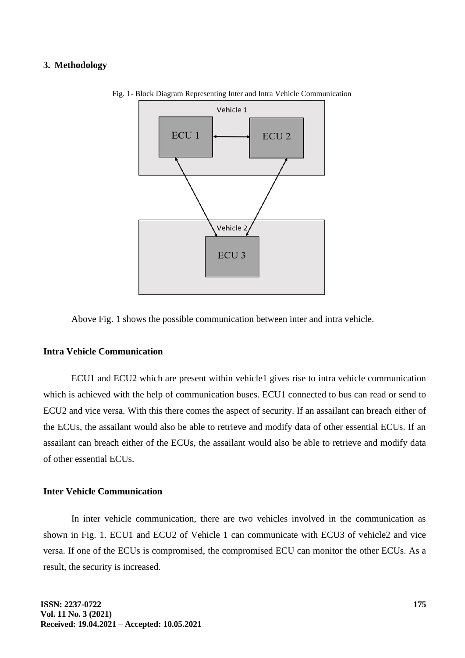## **3. Methodology**



Fig. 1- Block Diagram Representing Inter and Intra Vehicle Communication

Above Fig. 1 shows the possible communication between inter and intra vehicle.

# **Intra Vehicle Communication**

ECU1 and ECU2 which are present within vehicle1 gives rise to intra vehicle communication which is achieved with the help of communication buses. ECU1 connected to bus can read or send to ECU2 and vice versa. With this there comes the aspect of security. If an assailant can breach either of the ECUs, the assailant would also be able to retrieve and modify data of other essential ECUs. If an assailant can breach either of the ECUs, the assailant would also be able to retrieve and modify data of other essential ECUs.

## **Inter Vehicle Communication**

In inter vehicle communication, there are two vehicles involved in the communication as shown in Fig. 1. ECU1 and ECU2 of Vehicle 1 can communicate with ECU3 of vehicle2 and vice versa. If one of the ECUs is compromised, the compromised ECU can monitor the other ECUs. As a result, the security is increased.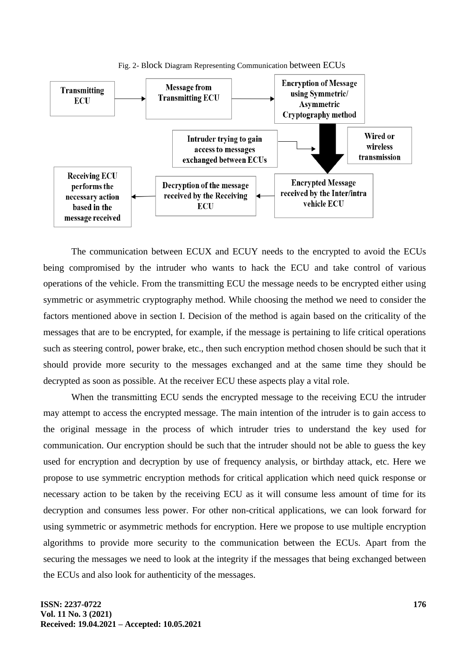



The communication between ECUX and ECUY needs to the encrypted to avoid the ECUs being compromised by the intruder who wants to hack the ECU and take control of various operations of the vehicle. From the transmitting ECU the message needs to be encrypted either using symmetric or asymmetric cryptography method. While choosing the method we need to consider the factors mentioned above in section I. Decision of the method is again based on the criticality of the messages that are to be encrypted, for example, if the message is pertaining to life critical operations such as steering control, power brake, etc., then such encryption method chosen should be such that it should provide more security to the messages exchanged and at the same time they should be decrypted as soon as possible. At the receiver ECU these aspects play a vital role.

When the transmitting ECU sends the encrypted message to the receiving ECU the intruder may attempt to access the encrypted message. The main intention of the intruder is to gain access to the original message in the process of which intruder tries to understand the key used for communication. Our encryption should be such that the intruder should not be able to guess the key used for encryption and decryption by use of frequency analysis, or birthday attack, etc. Here we propose to use symmetric encryption methods for critical application which need quick response or necessary action to be taken by the receiving ECU as it will consume less amount of time for its decryption and consumes less power. For other non-critical applications, we can look forward for using symmetric or asymmetric methods for encryption. Here we propose to use multiple encryption algorithms to provide more security to the communication between the ECUs. Apart from the securing the messages we need to look at the integrity if the messages that being exchanged between the ECUs and also look for authenticity of the messages.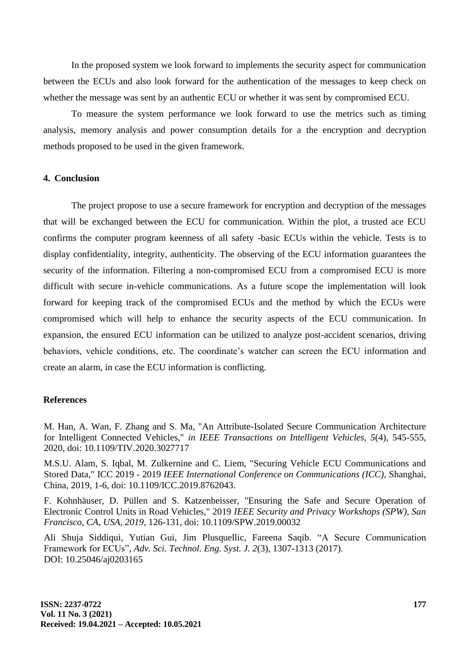In the proposed system we look forward to implements the security aspect for communication between the ECUs and also look forward for the authentication of the messages to keep check on whether the message was sent by an authentic ECU or whether it was sent by compromised ECU.

To measure the system performance we look forward to use the metrics such as timing analysis, memory analysis and power consumption details for a the encryption and decryption methods proposed to be used in the given framework.

# **4. Conclusion**

The project propose to use a secure framework for encryption and decryption of the messages that will be exchanged between the ECU for communication. Within the plot, a trusted ace ECU confirms the computer program keenness of all safety -basic ECUs within the vehicle. Tests is to display confidentiality, integrity, authenticity. The observing of the ECU information guarantees the security of the information. Filtering a non-compromised ECU from a compromised ECU is more difficult with secure in-vehicle communications. As a future scope the implementation will look forward for keeping track of the compromised ECUs and the method by which the ECUs were compromised which will help to enhance the security aspects of the ECU communication. In expansion, the ensured ECU information can be utilized to analyze post-accident scenarios, driving behaviors, vehicle conditions, etc. The coordinate's watcher can screen the ECU information and create an alarm, in case the ECU information is conflicting.

#### **References**

M. Han, A. Wan, F. Zhang and S. Ma, "An Attribute-Isolated Secure Communication Architecture for Intelligent Connected Vehicles," *in IEEE Transactions on Intelligent Vehicles, 5*(4), 545-555, 2020, doi: 10.1109/TIV.2020.3027717

M.S.U. Alam, S. Iqbal, M. Zulkernine and C. Liem, "Securing Vehicle ECU Communications and Stored Data," ICC 2019 - 2019 *IEEE International Conference on Communications (ICC),* Shanghai, China, 2019, 1-6, doi: 10.1109/ICC.2019.8762043.

F. Kohnhäuser, D. Püllen and S. Katzenbeisser, "Ensuring the Safe and Secure Operation of Electronic Control Units in Road Vehicles," 2019 *IEEE Security and Privacy Workshops (SPW), San Francisco, CA, USA, 2019,* 126-131, doi: 10.1109/SPW.2019.00032

Ali Shuja Siddiqui, Yutian Gui, Jim Plusquellic, Fareena Saqib. "A Secure Communication Framework for ECUs", *Adv. Sci. Technol. Eng. Syst. J. 2*(3), 1307-1313 (2017). DOI: 10.25046/aj0203165